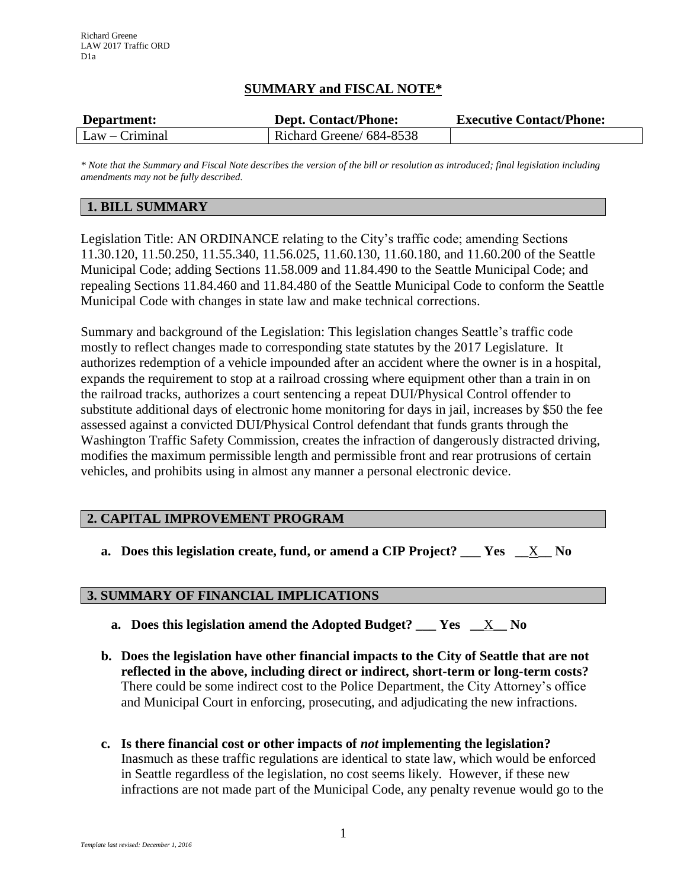# **SUMMARY and FISCAL NOTE\***

| Department:      | <b>Dept. Contact/Phone:</b> | <b>Executive Contact/Phone:</b> |
|------------------|-----------------------------|---------------------------------|
| $Law - Criminal$ | Richard Greene/ 684-8538    |                                 |

*\* Note that the Summary and Fiscal Note describes the version of the bill or resolution as introduced; final legislation including amendments may not be fully described.*

#### **1. BILL SUMMARY**

Legislation Title: AN ORDINANCE relating to the City's traffic code; amending Sections 11.30.120, 11.50.250, 11.55.340, 11.56.025, 11.60.130, 11.60.180, and 11.60.200 of the Seattle Municipal Code; adding Sections 11.58.009 and 11.84.490 to the Seattle Municipal Code; and repealing Sections 11.84.460 and 11.84.480 of the Seattle Municipal Code to conform the Seattle Municipal Code with changes in state law and make technical corrections.

Summary and background of the Legislation: This legislation changes Seattle's traffic code mostly to reflect changes made to corresponding state statutes by the 2017 Legislature. It authorizes redemption of a vehicle impounded after an accident where the owner is in a hospital, expands the requirement to stop at a railroad crossing where equipment other than a train in on the railroad tracks, authorizes a court sentencing a repeat DUI/Physical Control offender to substitute additional days of electronic home monitoring for days in jail, increases by \$50 the fee assessed against a convicted DUI/Physical Control defendant that funds grants through the Washington Traffic Safety Commission, creates the infraction of dangerously distracted driving, modifies the maximum permissible length and permissible front and rear protrusions of certain vehicles, and prohibits using in almost any manner a personal electronic device.

### **2. CAPITAL IMPROVEMENT PROGRAM**

**a. Does this legislation create, fund, or amend a CIP Project? \_\_\_ Yes \_\_**X**\_\_ No**

### **3. SUMMARY OF FINANCIAL IMPLICATIONS**

- **a. Does this legislation amend the Adopted Budget? \_\_\_ Yes \_\_**X**\_\_ No**
- **b. Does the legislation have other financial impacts to the City of Seattle that are not reflected in the above, including direct or indirect, short-term or long-term costs?** There could be some indirect cost to the Police Department, the City Attorney's office and Municipal Court in enforcing, prosecuting, and adjudicating the new infractions.
- **c. Is there financial cost or other impacts of** *not* **implementing the legislation?** Inasmuch as these traffic regulations are identical to state law, which would be enforced in Seattle regardless of the legislation, no cost seems likely. However, if these new infractions are not made part of the Municipal Code, any penalty revenue would go to the